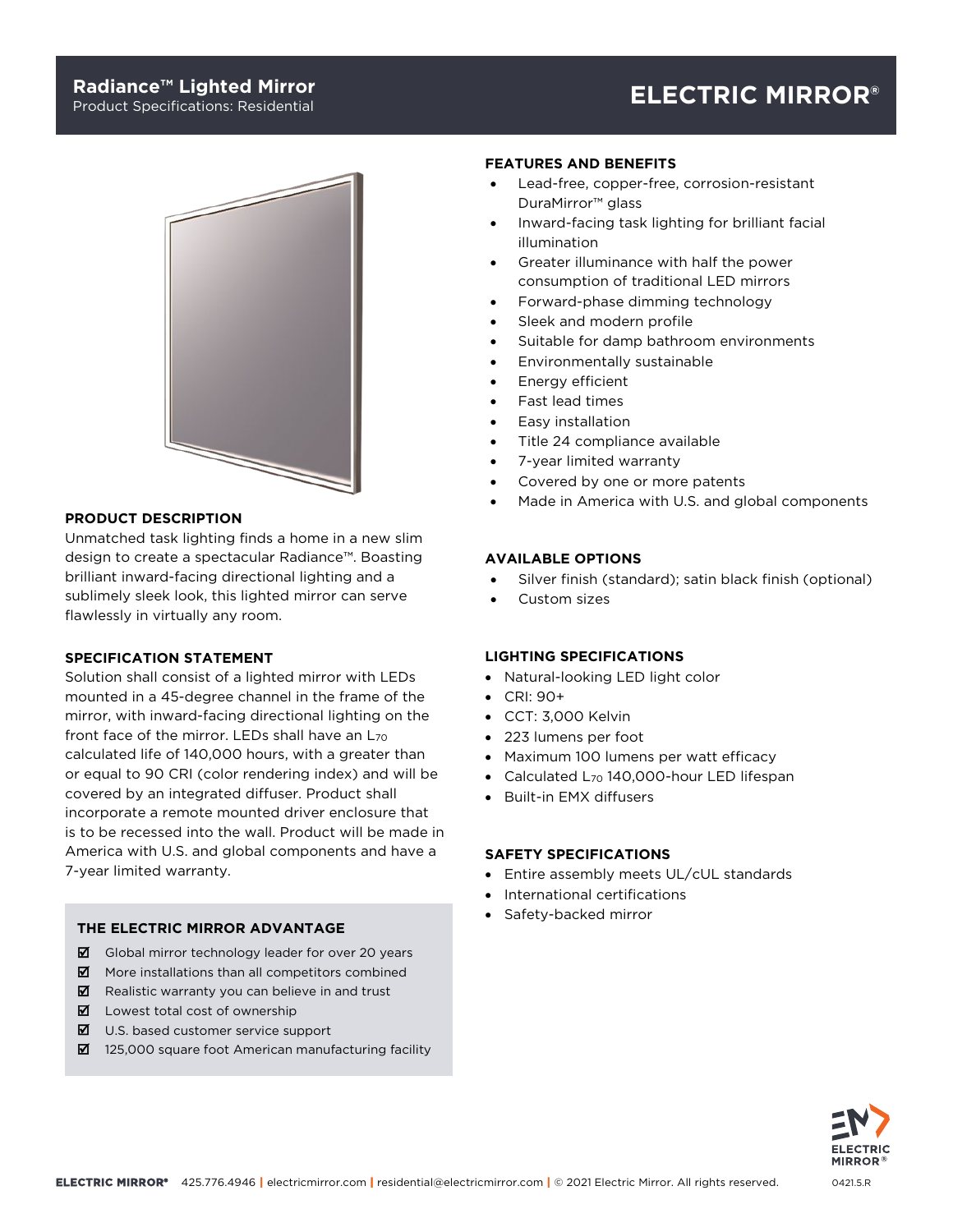## **Radiance™ Lighted Mirror**

# Product Specifications: Residential **ELECTRIC MIRROR®**



## **PRODUCT DESCRIPTION**

Unmatched task lighting finds a home in a new slim design to create a spectacular Radiance™. Boasting brilliant inward-facing directional lighting and a sublimely sleek look, this lighted mirror can serve flawlessly in virtually any room.

### **SPECIFICATION STATEMENT**

Solution shall consist of a lighted mirror with LEDs mounted in a 45-degree channel in the frame of the mirror, with inward-facing directional lighting on the front face of the mirror. LEDs shall have an L<sub>70</sub> calculated life of 140,000 hours, with a greater than or equal to 90 CRI (color rendering index) and will be covered by an integrated diffuser. Product shall incorporate a remote mounted driver enclosure that is to be recessed into the wall. Product will be made in America with U.S. and global components and have a 7-year limited warranty.

#### **THE ELECTRIC MIRROR ADVANTAGE**

- $\boxtimes$  Global mirror technology leader for over 20 years
- $\blacksquare$  More installations than all competitors combined
- $\boxtimes$  Realistic warranty you can believe in and trust
- **Z** Lowest total cost of ownership
- $\boxtimes$  U.S. based customer service support
- 125,000 square foot American manufacturing facility

#### **FEATURES AND BENEFITS**

- Lead-free, copper-free, corrosion-resistant DuraMirror™ glass
- Inward-facing task lighting for brilliant facial illumination
- Greater illuminance with half the power consumption of traditional LED mirrors
- Forward-phase dimming technology
- Sleek and modern profile
- Suitable for damp bathroom environments
- Environmentally sustainable
- Energy efficient
- Fast lead times
- Easy installation
- Title 24 compliance available
- 7-year limited warranty
- Covered by one or more patents
- Made in America with U.S. and global components

#### **AVAILABLE OPTIONS**

- Silver finish (standard); satin black finish (optional)
- Custom sizes

#### **LIGHTING SPECIFICATIONS**

- Natural-looking LED light color
- CRI: 90+
- CCT: 3,000 Kelvin
- 223 lumens per foot
- Maximum 100 lumens per watt efficacy
- Calculated L70 140,000-hour LED lifespan
- Built-in EMX diffusers

## **SAFETY SPECIFICATIONS**

- Entire assembly meets UL/cUL standards
- International certifications
- Safety-backed mirror